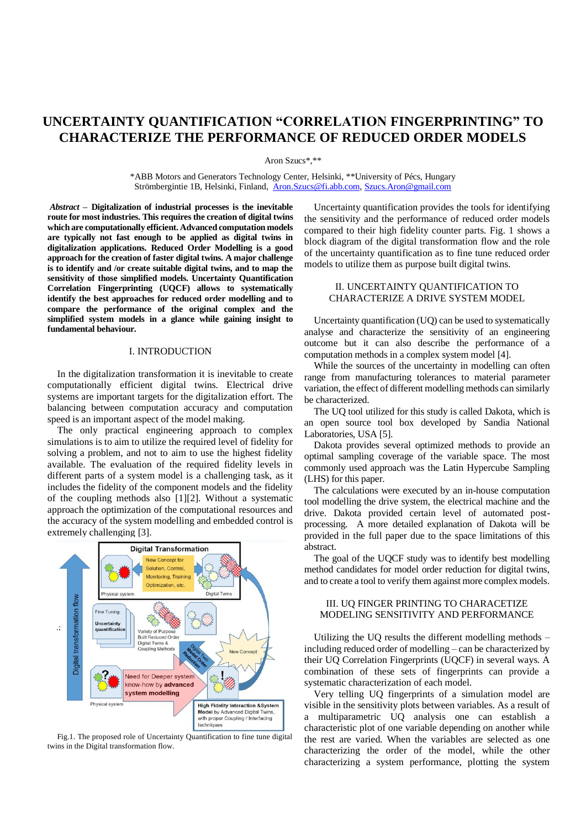# **UNCERTAINTY QUANTIFICATION "CORRELATION FINGERPRINTING" TO CHARACTERIZE THE PERFORMANCE OF REDUCED ORDER MODELS**

Aron Szucs\*,\*\*

\*ABB Motors and Generators Technology Center, Helsinki, \*\*University of Pécs, Hungary Strömbergintie 1B, Helsinki, Finland, [Aron.Szucs@fi.abb.com,](mailto:Aron.Szucs@fi.abb.com) [Szucs.Aron@gmail.com](mailto:Szucs.Aron@gmail.com)

*Abstract –* **Digitalization of industrial processes is the inevitable route for most industries. This requires the creation of digital twins which are computationally efficient. Advanced computation models are typically not fast enough to be applied as digital twins in digitalization applications. Reduced Order Modelling is a good approach for the creation of faster digital twins. A major challenge is to identify and /or create suitable digital twins, and to map the sensitivity of those simplified models. Uncertainty Quantification Correlation Fingerprinting (UQCF) allows to systematically identify the best approaches for reduced order modelling and to compare the performance of the original complex and the simplified system models in a glance while gaining insight to fundamental behaviour.**

## I. INTRODUCTION

In the digitalization transformation it is inevitable to create computationally efficient digital twins. Electrical drive systems are important targets for the digitalization effort. The balancing between computation accuracy and computation speed is an important aspect of the model making.

The only practical engineering approach to complex simulations is to aim to utilize the required level of fidelity for solving a problem, and not to aim to use the highest fidelity available. The evaluation of the required fidelity levels in different parts of a system model is a challenging task, as it includes the fidelity of the component models and the fidelity of the coupling methods also [1][2]. Without a systematic approach the optimization of the computational resources and the accuracy of the system modelling and embedded control is extremely challenging [3].



Fig.1. The proposed role of Uncertainty Quantification to fine tune digital twins in the Digital transformation flow.

Uncertainty quantification provides the tools for identifying the sensitivity and the performance of reduced order models compared to their high fidelity counter parts. Fig. 1 shows a block diagram of the digital transformation flow and the role of the uncertainty quantification as to fine tune reduced order models to utilize them as purpose built digital twins.

### II. UNCERTAINTY QUANTIFICATION TO CHARACTERIZE A DRIVE SYSTEM MODEL

Uncertainty quantification (UQ) can be used to systematically analyse and characterize the sensitivity of an engineering outcome but it can also describe the performance of a computation methods in a complex system model [4].

While the sources of the uncertainty in modelling can often range from manufacturing tolerances to material parameter variation, the effect of different modelling methods can similarly be characterized.

The UQ tool utilized for this study is called Dakota, which is an open source tool box developed by Sandia National Laboratories, USA [5].

Dakota provides several optimized methods to provide an optimal sampling coverage of the variable space. The most commonly used approach was the Latin Hypercube Sampling (LHS) for this paper.

The calculations were executed by an in-house computation tool modelling the drive system, the electrical machine and the drive. Dakota provided certain level of automated postprocessing. A more detailed explanation of Dakota will be provided in the full paper due to the space limitations of this abstract.

The goal of the UQCF study was to identify best modelling method candidates for model order reduction for digital twins, and to create a tool to verify them against more complex models.

#### III. UQ FINGER PRINTING TO CHARACETIZE MODELING SENSITIVITY AND PERFORMANCE

Utilizing the UQ results the different modelling methods – including reduced order of modelling – can be characterized by their UQ Correlation Fingerprints (UQCF) in several ways. A combination of these sets of fingerprints can provide a systematic characterization of each model.

Very telling UQ fingerprints of a simulation model are visible in the sensitivity plots between variables. As a result of a multiparametric UQ analysis one can establish a characteristic plot of one variable depending on another while the rest are varied. When the variables are selected as one characterizing the order of the model, while the other characterizing a system performance, plotting the system